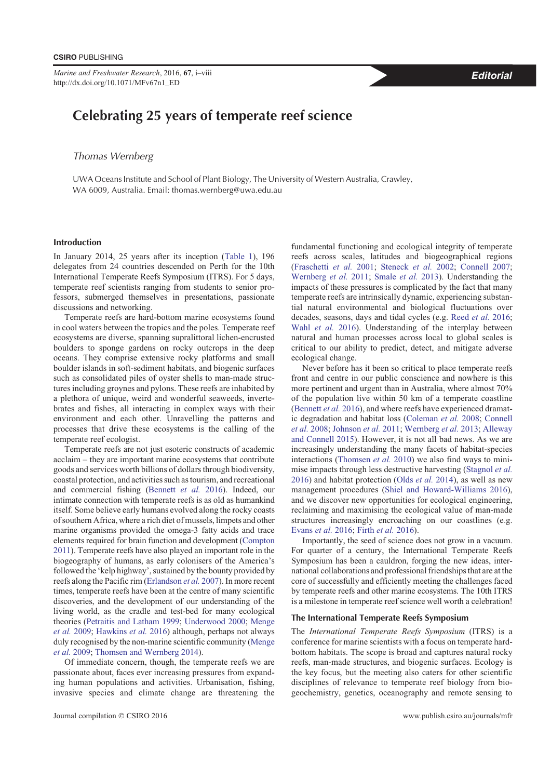*Marine and Freshwater Research*, 2016, **67**, i–viii http://dx.doi.org/10.1071/MFv67n1\_ED

## Celebrating 25 years of temperate reef science

# Thomas Wernberg

UWA Oceans Institute and School of Plant Biology, The University of Western Australia, Crawley, WA 6009, Australia. Email: thomas.wernberg@uwa.edu.au

## Introduction

In January 2014, 25 years after its inception ([Table 1](#page-1-0)), 196 delegates from 24 countries descended on Perth for the 10th International Temperate Reefs Symposium (ITRS). For 5 days, temperate reef scientists ranging from students to senior professors, submerged themselves in presentations, passionate discussions and networking.

Temperate reefs are hard-bottom marine ecosystems found in cool waters between the tropics and the poles. Temperate reef ecosystems are diverse, spanning supralittoral lichen-encrusted boulders to sponge gardens on rocky outcrops in the deep oceans. They comprise extensive rocky platforms and small boulder islands in soft-sediment habitats, and biogenic surfaces such as consolidated piles of oyster shells to man-made structures including groynes and pylons. These reefs are inhabited by a plethora of unique, weird and wonderful seaweeds, invertebrates and fishes, all interacting in complex ways with their environment and each other. Unravelling the patterns and processes that drive these ecosystems is the calling of the temperate reef ecologist.

Temperate reefs are not just esoteric constructs of academic acclaim – they are important marine ecosystems that contribute goods and services worth billions of dollars through biodiversity, coastal protection, and activities such as tourism, and recreational and commercial fishing [\(Bennett](#page-5-0) *et al.* 2016). Indeed, our intimate connection with temperate reefs is as old as humankind itself. Some believe early humans evolved along the rocky coasts of southern Africa, where a rich diet of mussels, limpets and other marine organisms provided the omega-3 fatty acids and trace elements required for brain function and development [\(Compton](#page-5-0) [2011](#page-5-0)). Temperate reefs have also played an important role in the biogeography of humans, as early colonisers of the America's followed the 'kelp highway', sustained by the bounty provided by reefs along the Pacific rim ([Erlandson](#page-6-0) *et al.* 2007). In more recent times, temperate reefs have been at the centre of many scientific discoveries, and the development of our understanding of the living world, as the cradle and test-bed for many ecological theories [\(Petraitis and Latham 1999;](#page-6-0) [Underwood 2000](#page-7-0); [Menge](#page-6-0) *[et al.](#page-6-0)* 2009; [Hawkins](#page-6-0) *et al.* 2016) although, perhaps not always duly recognised by the non-marine scientific community ([Menge](#page-6-0) *et al.* [2009;](#page-6-0) [Thomsen and Wernberg 2014](#page-6-0)).

Of immediate concern, though, the temperate reefs we are passionate about, faces ever increasing pressures from expanding human populations and activities. Urbanisation, fishing, invasive species and climate change are threatening the

fundamental functioning and ecological integrity of temperate reefs across scales, latitudes and biogeographical regions ([Fraschetti](#page-6-0) *et al.* 2001; [Steneck](#page-6-0) *et al.* 2002; [Connell 2007](#page-6-0); [Wernberg](#page-7-0) *et al.* 2011; [Smale](#page-6-0) *et al.* 2013). Understanding the impacts of these pressures is complicated by the fact that many temperate reefs are intrinsically dynamic, experiencing substantial natural environmental and biological fluctuations over decades, seasons, days and tidal cycles (e.g. Reed *[et al.](#page-6-0)* 2016; Wahl *[et al.](#page-7-0)* 2016). Understanding of the interplay between natural and human processes across local to global scales is critical to our ability to predict, detect, and mitigate adverse ecological change.

Never before has it been so critical to place temperate reefs front and centre in our public conscience and nowhere is this more pertinent and urgent than in Australia, where almost 70% of the population live within 50 km of a temperate coastline ([Bennett](#page-5-0) *et al.* 2016), and where reefs have experienced dramatic degradation and habitat loss [\(Coleman](#page-5-0) *et al.* 2008; [Connell](#page-6-0) *et al.* [2008;](#page-6-0) [Johnson](#page-6-0) *et al.* 2011; [Wernberg](#page-7-0) *et al.* 2013; [Alleway](#page-5-0) [and Connell 2015\)](#page-5-0). However, it is not all bad news. As we are increasingly understanding the many facets of habitat-species interactions [\(Thomsen](#page-6-0) *et al.* 2010) we also find ways to minimise impacts through less destructive harvesting ([Stagnol](#page-6-0) *et al.* [2016\)](#page-6-0) and habitat protection (Olds *[et al.](#page-6-0)* 2014), as well as new management procedures ([Shiel and Howard-Williams 2016](#page-6-0)), and we discover new opportunities for ecological engineering, reclaiming and maximising the ecological value of man-made structures increasingly encroaching on our coastlines (e.g. [Evans](#page-6-0) *et al.* 2016; Firth *[et al.](#page-6-0)* 2016).

Importantly, the seed of science does not grow in a vacuum. For quarter of a century, the International Temperate Reefs Symposium has been a cauldron, forging the new ideas, international collaborations and professional friendships that are at the core of successfully and efficiently meeting the challenges faced by temperate reefs and other marine ecosystems. The 10th ITRS is a milestone in temperate reef science well worth a celebration!

## The International Temperate Reefs Symposium

The *International Temperate Reefs Symposium* (ITRS) is a conference for marine scientists with a focus on temperate hardbottom habitats. The scope is broad and captures natural rocky reefs, man-made structures, and biogenic surfaces. Ecology is the key focus, but the meeting also caters for other scientific disciplines of relevance to temperate reef biology from biogeochemistry, genetics, oceanography and remote sensing to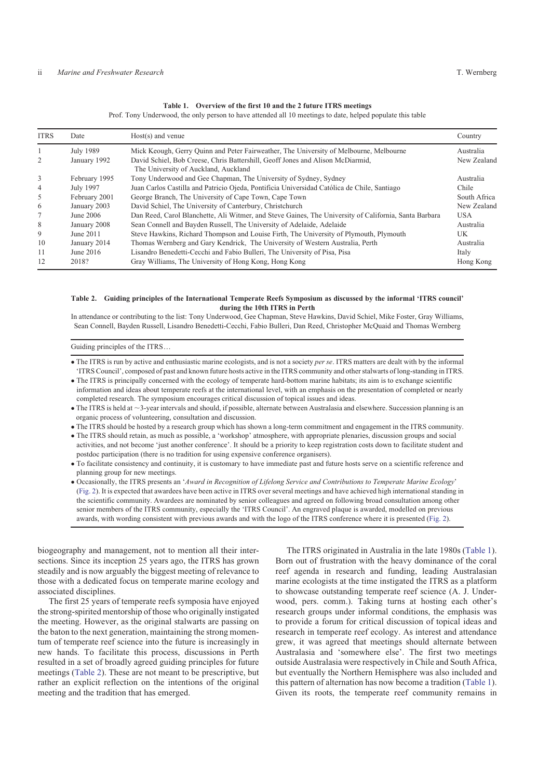|  | Table 1. Overview of the first 10 and the 2 future ITRS meetings |
|--|------------------------------------------------------------------|
|--|------------------------------------------------------------------|

Prof. Tony Underwood, the only person to have attended all 10 meetings to date, helped populate this table

<span id="page-1-0"></span>

| <b>ITRS</b> | Date          | $Host(s)$ and venue                                                                                                    | Country      |
|-------------|---------------|------------------------------------------------------------------------------------------------------------------------|--------------|
|             | July 1989     | Mick Keough, Gerry Quinn and Peter Fairweather, The University of Melbourne, Melbourne                                 | Australia    |
| 2           | January 1992  | David Schiel, Bob Creese, Chris Battershill, Geoff Jones and Alison McDiarmid,<br>The University of Auckland, Auckland | New Zealand  |
| 3           | February 1995 | Tony Underwood and Gee Chapman, The University of Sydney, Sydney                                                       | Australia    |
| 4           | July 1997     | Juan Carlos Castilla and Patricio Ojeda, Pontificia Universidad Católica de Chile, Santiago                            | Chile        |
| 5           | February 2001 | George Branch, The University of Cape Town, Cape Town                                                                  | South Africa |
| 6           | January 2003  | David Schiel, The University of Canterbury, Christchurch                                                               | New Zealand  |
|             | June 2006     | Dan Reed, Carol Blanchette, Ali Witmer, and Steve Gaines, The University of California, Santa Barbara                  | <b>USA</b>   |
| 8           | January 2008  | Sean Connell and Bayden Russell, The University of Adelaide, Adelaide                                                  | Australia    |
| 9           | June $2011$   | Steve Hawkins, Richard Thompson and Louise Firth, The University of Plymouth, Plymouth                                 | UK           |
| 10          | January 2014  | Thomas Wernberg and Gary Kendrick, The University of Western Australia, Perth                                          | Australia    |
| 11          | June 2016     | Lisandro Benedetti-Cecchi and Fabio Bulleri, The University of Pisa, Pisa                                              | Italy        |
| 12          | 2018?         | Gray Williams, The University of Hong Kong, Hong Kong                                                                  | Hong Kong    |

#### **Table 2. Guiding principles of the International Temperate Reefs Symposium as discussed by the informal 'ITRS council' during the 10th ITRS in Perth**

In attendance or contributing to the list: Tony Underwood, Gee Chapman, Steve Hawkins, David Schiel, Mike Foster, Gray Williams, Sean Connell, Bayden Russell, Lisandro Benedetti-Cecchi, Fabio Bulleri, Dan Reed, Christopher McQuaid and Thomas Wernberg

#### Guiding principles of the ITRS...

- The ITRS is run by active and enthusiastic marine ecologists, and is not a society *per se*. ITRS matters are dealt with by the informal 'ITRS Council', composed of past and known future hosts active in the ITRS community and other stalwarts of long-standing in ITRS.
- The ITRS is principally concerned with the ecology of temperate hard-bottom marine habitats; its aim is to exchange scientific information and ideas about temperate reefs at the international level, with an emphasis on the presentation of completed or nearly completed research. The symposium encourages critical discussion of topical issues and ideas.
- The ITRS is held at  $\sim$ 3-year intervals and should, if possible, alternate between Australasia and elsewhere. Succession planning is an organic process of volunteering, consultation and discussion.
- The ITRS should be hosted by a research group which has shown a long-term commitment and engagement in the ITRS community.
- The ITRS should retain, as much as possible, a 'workshop' atmosphere, with appropriate plenaries, discussion groups and social activities, and not become 'just another conference'. It should be a priority to keep registration costs down to facilitate student and postdoc participation (there is no tradition for using expensive conference organisers).
- To facilitate consistency and continuity, it is customary to have immediate past and future hosts serve on a scientific reference and planning group for new meetings.
- Occasionally, the ITRS presents an '*Award in Recognition of Lifelong Service and Contributions to Temperate Marine Ecology*' [\(Fig. 2\)](#page-4-0). It is expected that awardees have been active in ITRS over several meetings and have achieved high international standing in the scientific community. Awardees are nominated by senior colleagues and agreed on following broad consultation among other senior members of the ITRS community, especially the 'ITRS Council'. An engraved plaque is awarded, modelled on previous awards, with wording consistent with previous awards and with the logo of the ITRS conference where it is presented ([Fig. 2\)](#page-4-0).

biogeography and management, not to mention all their intersections. Since its inception 25 years ago, the ITRS has grown steadily and is now arguably the biggest meeting of relevance to those with a dedicated focus on temperate marine ecology and associated disciplines.

The first 25 years of temperate reefs symposia have enjoyed the strong-spirited mentorship of those who originally instigated the meeting. However, as the original stalwarts are passing on the baton to the next generation, maintaining the strong momentum of temperate reef science into the future is increasingly in new hands. To facilitate this process, discussions in Perth resulted in a set of broadly agreed guiding principles for future meetings (Table 2). These are not meant to be prescriptive, but rather an explicit reflection on the intentions of the original meeting and the tradition that has emerged.

The ITRS originated in Australia in the late 1980s (Table 1). Born out of frustration with the heavy dominance of the coral reef agenda in research and funding, leading Australasian marine ecologists at the time instigated the ITRS as a platform to showcase outstanding temperate reef science (A. J. Underwood, pers. comm.). Taking turns at hosting each other's research groups under informal conditions, the emphasis was to provide a forum for critical discussion of topical ideas and research in temperate reef ecology. As interest and attendance grew, it was agreed that meetings should alternate between Australasia and 'somewhere else'. The first two meetings outside Australasia were respectively in Chile and South Africa, but eventually the Northern Hemisphere was also included and this pattern of alternation has now become a tradition (Table 1). Given its roots, the temperate reef community remains in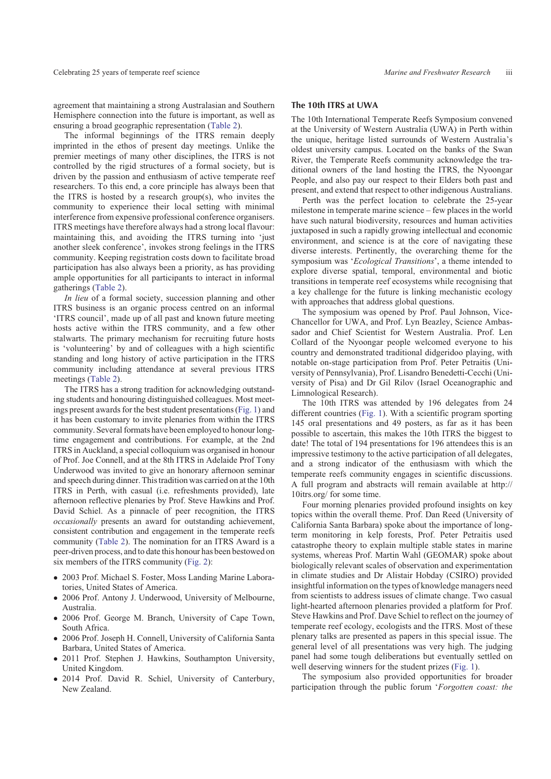agreement that maintaining a strong Australasian and Southern Hemisphere connection into the future is important, as well as ensuring a broad geographic representation ([Table 2\)](#page-1-0).

The informal beginnings of the ITRS remain deeply imprinted in the ethos of present day meetings. Unlike the premier meetings of many other disciplines, the ITRS is not controlled by the rigid structures of a formal society, but is driven by the passion and enthusiasm of active temperate reef researchers. To this end, a core principle has always been that the ITRS is hosted by a research group(s), who invites the community to experience their local setting with minimal interference from expensive professional conference organisers. ITRS meetings have therefore always had a strong local flavour: maintaining this, and avoiding the ITRS turning into 'just another sleek conference', invokes strong feelings in the ITRS community. Keeping registration costs down to facilitate broad participation has also always been a priority, as has providing ample opportunities for all participants to interact in informal gatherings ([Table 2\)](#page-1-0).

*In lieu* of a formal society, succession planning and other ITRS business is an organic process centred on an informal 'ITRS council', made up of all past and known future meeting hosts active within the ITRS community, and a few other stalwarts. The primary mechanism for recruiting future hosts is 'volunteering' by and of colleagues with a high scientific standing and long history of active participation in the ITRS community including attendance at several previous ITRS meetings ([Table 2\)](#page-1-0).

The ITRS has a strong tradition for acknowledging outstanding students and honouring distinguished colleagues. Most meetings present awards for the best student presentations [\(Fig. 1](#page-3-0)) and it has been customary to invite plenaries from within the ITRS community. Several formats have been employed to honour longtime engagement and contributions. For example, at the 2nd ITRS in Auckland, a special colloquium was organised in honour of Prof. Joe Connell, and at the 8th ITRS in Adelaide Prof Tony Underwood was invited to give an honorary afternoon seminar and speech during dinner. This tradition was carried on at the 10th ITRS in Perth, with casual (i.e. refreshments provided), late afternoon reflective plenaries by Prof. Steve Hawkins and Prof. David Schiel. As a pinnacle of peer recognition, the ITRS *occasionally* presents an award for outstanding achievement, consistent contribution and engagement in the temperate reefs community [\(Table 2](#page-1-0)). The nomination for an ITRS Award is a peer-driven process, and to date this honour has been bestowed on six members of the ITRS community ([Fig. 2](#page-4-0)):

- 2003 Prof. Michael S. Foster, Moss Landing Marine Laboratories, United States of America.
- 2006 Prof. Antony J. Underwood, University of Melbourne, Australia.
- 2006 Prof. George M. Branch, University of Cape Town, South Africa.
- 2006 Prof. Joseph H. Connell, University of California Santa Barbara, United States of America.
- 2011 Prof. Stephen J. Hawkins, Southampton University, United Kingdom.
- 2014 Prof. David R. Schiel, University of Canterbury, New Zealand.

## The 10th ITRS at UWA

The 10th International Temperate Reefs Symposium convened at the University of Western Australia (UWA) in Perth within the unique, heritage listed surrounds of Western Australia's oldest university campus. Located on the banks of the Swan River, the Temperate Reefs community acknowledge the traditional owners of the land hosting the ITRS, the Nyoongar People, and also pay our respect to their Elders both past and present, and extend that respect to other indigenous Australians.

Perth was the perfect location to celebrate the 25-year milestone in temperate marine science – few places in the world have such natural biodiversity, resources and human activities juxtaposed in such a rapidly growing intellectual and economic environment, and science is at the core of navigating these diverse interests. Pertinently, the overarching theme for the symposium was '*Ecological Transitions*', a theme intended to explore diverse spatial, temporal, environmental and biotic transitions in temperate reef ecosystems while recognising that a key challenge for the future is linking mechanistic ecology with approaches that address global questions.

The symposium was opened by Prof. Paul Johnson, Vice-Chancellor for UWA, and Prof. Lyn Beazley, Science Ambassador and Chief Scientist for Western Australia. Prof. Len Collard of the Nyoongar people welcomed everyone to his country and demonstrated traditional didgeridoo playing, with notable on-stage participation from Prof. Peter Petraitis (University of Pennsylvania), Prof. Lisandro Benedetti-Cecchi (University of Pisa) and Dr Gil Rilov (Israel Oceanographic and Limnological Research).

The 10th ITRS was attended by 196 delegates from 24 different countries ([Fig. 1](#page-3-0)). With a scientific program sporting 145 oral presentations and 49 posters, as far as it has been possible to ascertain, this makes the 10th ITRS the biggest to date! The total of 194 presentations for 196 attendees this is an impressive testimony to the active participation of all delegates, and a strong indicator of the enthusiasm with which the temperate reefs community engages in scientific discussions. A full program and abstracts will remain available at [http://](http://10itrs.org/) [10itrs.org/](http://10itrs.org/) for some time.

Four morning plenaries provided profound insights on key topics within the overall theme. Prof. Dan Reed (University of California Santa Barbara) spoke about the importance of longterm monitoring in kelp forests, Prof. Peter Petraitis used catastrophe theory to explain multiple stable states in marine systems, whereas Prof. Martin Wahl (GEOMAR) spoke about biologically relevant scales of observation and experimentation in climate studies and Dr Alistair Hobday (CSIRO) provided insightful information on the types of knowledge managers need from scientists to address issues of climate change. Two casual light-hearted afternoon plenaries provided a platform for Prof. Steve Hawkins and Prof. Dave Schiel to reflect on the journey of temperate reef ecology, ecologists and the ITRS. Most of these plenary talks are presented as papers in this special issue. The general level of all presentations was very high. The judging panel had some tough deliberations but eventually settled on well deserving winners for the student prizes [\(Fig. 1](#page-3-0)).

The symposium also provided opportunities for broader participation through the public forum '*Forgotten coast: the*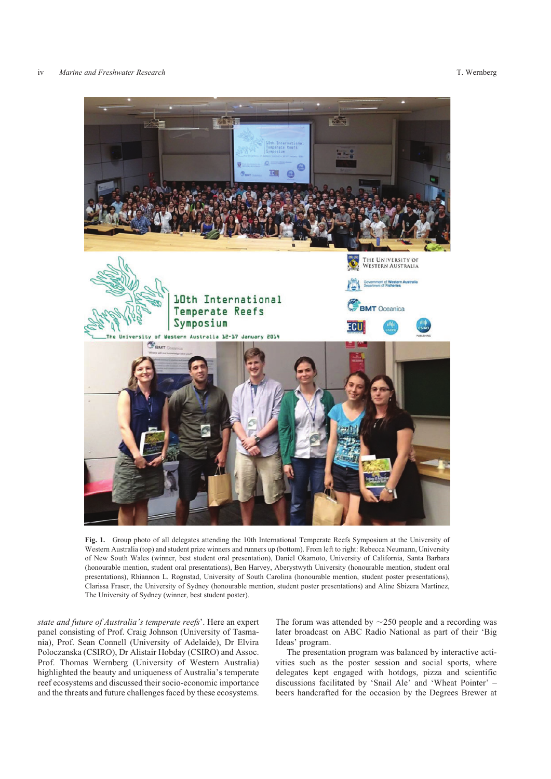<span id="page-3-0"></span>

**Fig. 1.** Group photo of all delegates attending the 10th International Temperate Reefs Symposium at the University of Western Australia (top) and student prize winners and runners up (bottom). From left to right: Rebecca Neumann, University of New South Wales (winner, best student oral presentation), Daniel Okamoto, University of California, Santa Barbara (honourable mention, student oral presentations), Ben Harvey, Aberystwyth University (honourable mention, student oral presentations), Rhiannon L. Rognstad, University of South Carolina (honourable mention, student poster presentations), Clarissa Fraser, the University of Sydney (honourable mention, student poster presentations) and Aline Sbizera Martinez, The University of Sydney (winner, best student poster).

*state and future of Australia's temperate reefs*'. Here an expert panel consisting of Prof. Craig Johnson (University of Tasmania), Prof. Sean Connell (University of Adelaide), Dr Elvira Poloczanska (CSIRO), Dr Alistair Hobday (CSIRO) and Assoc. Prof. Thomas Wernberg (University of Western Australia) highlighted the beauty and uniqueness of Australia's temperate reef ecosystems and discussed their socio-economic importance and the threats and future challenges faced by these ecosystems.

The forum was attended by  $\sim$  250 people and a recording was later broadcast on ABC Radio National as part of their 'Big Ideas' program.

The presentation program was balanced by interactive activities such as the poster session and social sports, where delegates kept engaged with hotdogs, pizza and scientific discussions facilitated by 'Snail Ale' and 'Wheat Pointer' – beers handcrafted for the occasion by the Degrees Brewer at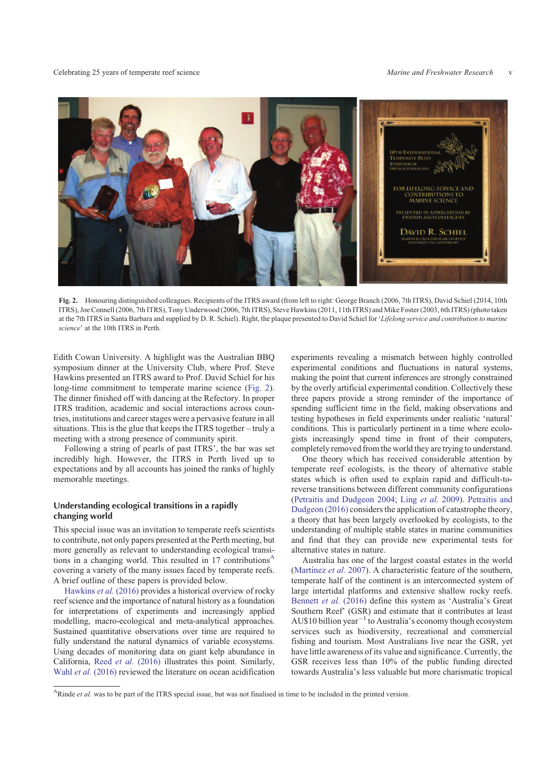<span id="page-4-0"></span>

**Fig. 2.** Honouring distinguished colleagues. Recipients of the ITRS award (from left to right: George Branch (2006, 7th ITRS), David Schiel (2014, 10th ITRS), Joe Connell (2006, 7th ITRS), Tony Underwood (2006, 7th ITRS), Steve Hawkins (2011, 11th ITRS) and Mike Foster (2003, 6th ITRS) (photo taken at the 7th ITRS in Santa Barbara and supplied by D. R. Schiel). Right, the plaque presented to David Schiel for '*Lifelong service and contribution to marine science*' at the 10th ITRS in Perth.

Edith Cowan University. A highlight was the Australian BBQ symposium dinner at the University Club, where Prof. Steve Hawkins presented an ITRS award to Prof. David Schiel for his long-time commitment to temperate marine science (Fig. 2). The dinner finished off with dancing at the Refectory. In proper ITRS tradition, academic and social interactions across countries, institutions and career stages were a pervasive feature in all situations. This is the glue that keeps the ITRS together – truly a meeting with a strong presence of community spirit.

Following a string of pearls of past ITRS', the bar was set incredibly high. However, the ITRS in Perth lived up to expectations and by all accounts has joined the ranks of highly memorable meetings.

## Understanding ecological transitions in a rapidly changing world

This special issue was an invitation to temperate reefs scientists to contribute, not only papers presented at the Perth meeting, but more generally as relevant to understanding ecological transitions in a changing world. This resulted in 17 contributions<sup> $A$ </sup> covering a variety of the many issues faced by temperate reefs. A brief outline of these papers is provided below.

[Hawkins](#page-6-0) *et al.* (2016) provides a historical overview of rocky reef science and the importance of natural history as a foundation for interpretations of experiments and increasingly applied modelling, macro-ecological and meta-analytical approaches. Sustained quantitative observations over time are required to fully understand the natural dynamics of variable ecosystems. Using decades of monitoring data on giant kelp abundance in California, Reed *et al.* [\(2016\)](#page-6-0) illustrates this point. Similarly, Wahl *et al.* [\(2016\)](#page-7-0) reviewed the literature on ocean acidification experiments revealing a mismatch between highly controlled experimental conditions and fluctuations in natural systems, making the point that current inferences are strongly constrained by the overly artificial experimental condition. Collectively these three papers provide a strong reminder of the importance of spending sufficient time in the field, making observations and testing hypotheses in field experiments under realistic 'natural' conditions. This is particularly pertinent in a time where ecologists increasingly spend time in front of their computers, completely removed from the world they are trying to understand.

One theory which has received considerable attention by temperate reef ecologists, is the theory of alternative stable states which is often used to explain rapid and difficult-toreverse transitions between different community configurations ([Petraitis and Dudgeon 2004;](#page-6-0) Ling *[et al.](#page-6-0)* 2009). [Petraitis and](#page-6-0) [Dudgeon \(2016\)](#page-6-0) considers the application of catastrophe theory, a theory that has been largely overlooked by ecologists, to the understanding of multiple stable states in marine communities and find that they can provide new experimental tests for alternative states in nature.

Australia has one of the largest coastal estates in the world (Martinez *et al.* 2007). A characteristic feature of the southern, temperate half of the continent is an interconnected system of large intertidal platforms and extensive shallow rocky reefs. [Bennett](#page-5-0) *et al.* (2016) define this system as 'Australia's Great Southern Reef' (GSR) and estimate that it contributes at least AU\$10 billion year<sup> $-1$ </sup> to Australia's economy though ecosystem services such as biodiversity, recreational and commercial fishing and tourism. Most Australians live near the GSR, yet have little awareness of its value and significance. Currently, the GSR receives less than 10% of the public funding directed towards Australia's less valuable but more charismatic tropical

ARinde *et al.* was to be part of the ITRS special issue, but was not finalised in time to be included in the printed version.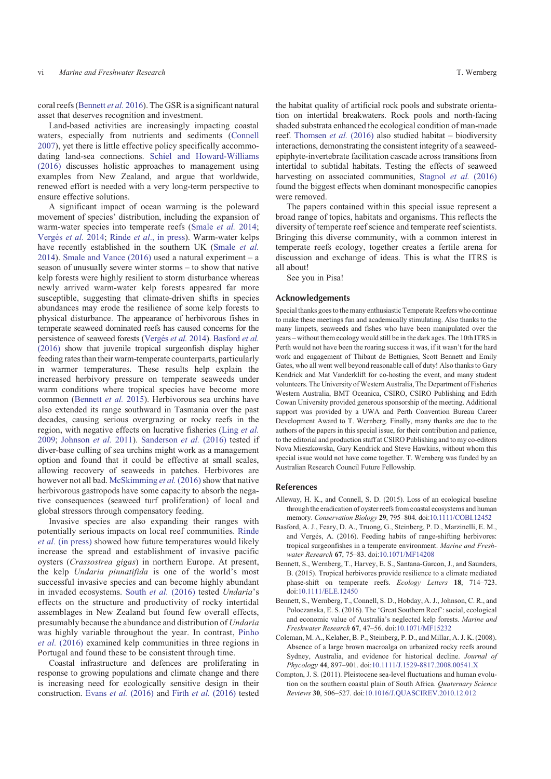<span id="page-5-0"></span>coral reefs (Bennett *et al.* 2016). The GSR is a significant natural asset that deserves recognition and investment.

Land-based activities are increasingly impacting coastal waters, especially from nutrients and sediments ([Connell](#page-6-0) [2007\)](#page-6-0), yet there is little effective policy specifically accommodating land-sea connections. [Schiel and Howard-Williams](#page-6-0) [\(2016\)](#page-6-0) discusses holistic approaches to management using examples from New Zealand, and argue that worldwide, renewed effort is needed with a very long-term perspective to ensure effective solutions.

A significant impact of ocean warming is the poleward movement of species' distribution, including the expansion of warm-water species into temperate reefs ([Smale](#page-6-0) *et al.* 2014; Vergés et al. 2014; Rinde et al[., in press](#page-6-0)). Warm-water kelps have recently established in the southern UK ([Smale](#page-6-0) *et al.* [2014\)](#page-6-0). Smale and Vance  $(2016)$  used a natural experiment – a season of unusually severe winter storms – to show that native kelp forests were highly resilient to storm disturbance whereas newly arrived warm-water kelp forests appeared far more susceptible, suggesting that climate-driven shifts in species abundances may erode the resilience of some kelp forests to physical disturbance. The appearance of herbivorous fishes in temperate seaweed dominated reefs has caused concerns for the persistence of seaweed forests (Vergés et al. 2014). Basford et al. (2016) show that juvenile tropical surgeonfish display higher feeding rates than their warm-temperate counterparts, particularly in warmer temperatures. These results help explain the increased herbivory pressure on temperate seaweeds under warm conditions where tropical species have become more common (Bennett *et al.* 2015). Herbivorous sea urchins have also extended its range southward in Tasmania over the past decades, causing serious overgrazing or rocky reefs in the region, with negative effects on lucrative fisheries (Ling *[et al.](#page-6-0)* [2009;](#page-6-0) [Johnson](#page-6-0) *et al.* 2011). [Sanderson](#page-6-0) *et al.* (2016) tested if diver-base culling of sea urchins might work as a management option and found that it could be effective at small scales, allowing recovery of seaweeds in patches. Herbivores are however not all bad. [McSkimming](#page-6-0) *et al.* (2016) show that native herbivorous gastropods have some capacity to absorb the negative consequences (seaweed turf proliferation) of local and global stressors through compensatory feeding.

Invasive species are also expanding their ranges with potentially serious impacts on local reef communities. [Rinde](#page-6-0) *et al.* [\(in press\)](#page-6-0) showed how future temperatures would likely increase the spread and establishment of invasive pacific oysters (*Crassostrea gigas*) in northern Europe. At present, the kelp *Undaria pinnatifida* is one of the world's most successful invasive species and can become highly abundant in invaded ecosystems. South *et al.* [\(2016\)](#page-6-0) tested *Undaria*'s effects on the structure and productivity of rocky intertidal assemblages in New Zealand but found few overall effects, presumably because the abundance and distribution of *Undaria* was highly variable throughout the year. In contrast, [Pinho](#page-6-0) *et al.* [\(2016\)](#page-6-0) examined kelp communities in three regions in Portugal and found these to be consistent through time.

Coastal infrastructure and defences are proliferating in response to growing populations and climate change and there is increasing need for ecologically sensitive design in their construction. Evans *et al.* [\(2016\)](#page-6-0) and Firth *et al.* [\(2016\)](#page-6-0) tested the habitat quality of artificial rock pools and substrate orientation on intertidal breakwaters. Rock pools and north-facing shaded substrata enhanced the ecological condition of man-made reef. [Thomsen](#page-6-0) *et al.* (2016) also studied habitat – biodiversity interactions, demonstrating the consistent integrity of a seaweedepiphyte-invertebrate facilitation cascade across transitions from intertidal to subtidal habitats. Testing the effects of seaweed harvesting on associated communities, [Stagnol](#page-6-0) *et al.* (2016) found the biggest effects when dominant monospecific canopies were removed.

The papers contained within this special issue represent a broad range of topics, habitats and organisms. This reflects the diversity of temperate reef science and temperate reef scientists. Bringing this diverse community, with a common interest in temperate reefs ecology, together creates a fertile arena for discussion and exchange of ideas. This is what the ITRS is all about!

See you in Pisa!

## Acknowledgements

Special thanks goes to the many enthusiastic Temperate Reefers who continue to make these meetings fun and academically stimulating. Also thanks to the many limpets, seaweeds and fishes who have been manipulated over the years – without them ecology would still be in the dark ages. The 10th ITRS in Perth would not have been the roaring success it was, if it wasn't for the hard work and engagement of Thibaut de Bettignies, Scott Bennett and Emily Gates, who all went well beyond reasonable call of duty! Also thanks to Gary Kendrick and Mat Vanderklift for co-hosting the event, and many student volunteers. The University of Western Australia, The Department of Fisheries Western Australia, BMT Oceanica, CSIRO, CSIRO Publishing and Edith Cowan University provided generous sponsorship of the meeting. Additional support was provided by a UWA and Perth Convention Bureau Career Development Award to T. Wernberg. Finally, many thanks are due to the authors of the papers in this special issue, for their contribution and patience, to the editorial and production staff at CSIRO Publishing and to my co-editors Nova Mieszkowska, Gary Kendrick and Steve Hawkins, without whom this special issue would not have come together. T. Wernberg was funded by an Australian Research Council Future Fellowship.

### References

- Alleway, H. K., and Connell, S. D. (2015). Loss of an ecological baseline through the eradication of oyster reefs from coastal ecosystems and human memory. *Conservation Biology* **29**, 795–804. doi[:10.1111/COBI.12452](http://dx.doi.org/10.1111/COBI.12452)
- Basford, A. J., Feary, D. A., Truong, G., Steinberg, P. D., Marzinelli, E. M., and Vergés, A. (2016). Feeding habits of range-shifting herbivores: tropical surgeonfishes in a temperate environment. *Marine and Freshwater Research* **67**, 75–83. doi[:10.1071/MF14208](http://dx.doi.org/10.1071/MF14208)
- Bennett, S., Wernberg, T., Harvey, E. S., Santana-Garcon, J., and Saunders, B. (2015). Tropical herbivores provide resilience to a climate mediated phase-shift on temperate reefs. *Ecology Letters* **18**, 714–723. doi[:10.1111/ELE.12450](http://dx.doi.org/10.1111/ELE.12450)
- Bennett, S., Wernberg, T., Connell, S. D., Hobday, A. J., Johnson, C. R., and Poloczanska, E. S. (2016). The 'Great Southern Reef': social, ecological and economic value of Australia's neglected kelp forests. *Marine and Freshwater Research* **67**, 47–56. doi:[10.1071/MF15232](http://dx.doi.org/10.1071/MF15232)
- Coleman, M. A., Kelaher, B. P., Steinberg, P. D., and Millar, A. J. K. (2008). Absence of a large brown macroalga on urbanized rocky reefs around Sydney, Australia, and evidence for historical decline. *Journal of Phycology* **44**, 897–901. doi:[10.1111/J.1529-8817.2008.00541.X](http://dx.doi.org/10.1111/J.1529-8817.2008.00541.X)
- Compton, J. S. (2011). Pleistocene sea-level fluctuations and human evolution on the southern coastal plain of South Africa. *Quaternary Science Reviews* **30**, 506–527. doi[:10.1016/J.QUASCIREV.2010.12.012](http://dx.doi.org/10.1016/J.QUASCIREV.2010.12.012)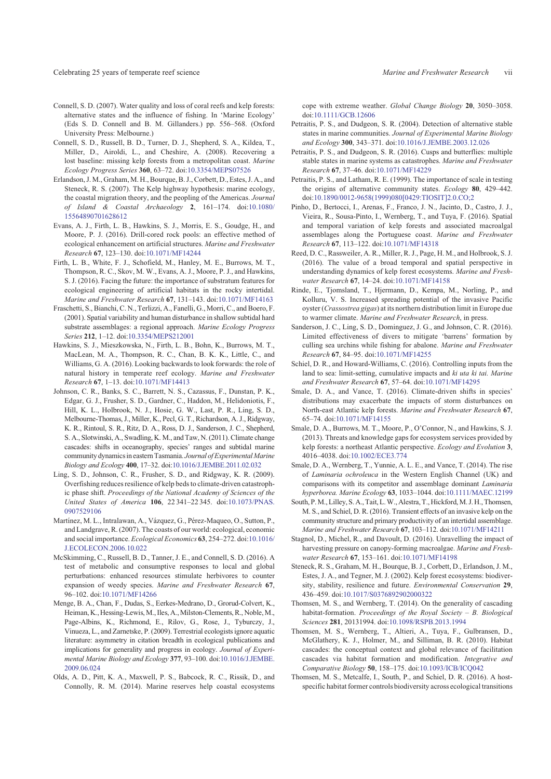<span id="page-6-0"></span>Celebrating 25 years of temperate reef science *Marine and Freshwater Research* vii

- Connell, S. D. (2007). Water quality and loss of coral reefs and kelp forests: alternative states and the influence of fishing. In 'Marine Ecology' (Eds S. D. Connell and B. M. Gillanders.) pp. 556–568. (Oxford University Press: Melbourne.)
- Connell, S. D., Russell, B. D., Turner, D. J., Shepherd, S. A., Kildea, T., Miller, D., Airoldi, L., and Cheshire, A. (2008). Recovering a lost baseline: missing kelp forests from a metropolitan coast. *Marine Ecology Progress Series* **360**, 63–72. doi:[10.3354/MEPS07526](http://dx.doi.org/10.3354/MEPS07526)
- Erlandson, J. M., Graham, M. H., Bourque, B. J., Corbett, D., Estes, J. A., and Steneck, R. S. (2007). The Kelp highway hypothesis: marine ecology, the coastal migration theory, and the peopling of the Americas. *Journal of Island & Coastal Archaeology* **2**, 161–174. doi:[10.1080/](http://dx.doi.org/10.1080/15564890701628612) [15564890701628612](http://dx.doi.org/10.1080/15564890701628612)
- Evans, A. J., Firth, L. B., Hawkins, S. J., Morris, E. S., Goudge, H., and Moore, P. J. (2016). Drill-cored rock pools: an effective method of ecological enhancement on artificial structures. *Marine and Freshwater Research* **67**, 123–130. doi:[10.1071/MF14244](http://dx.doi.org/10.1071/MF14244)
- Firth, L. B., White, F. J., Schofield, M., Hanley, M. E., Burrows, M. T., Thompson, R. C., Skov, M. W., Evans, A. J., Moore, P. J., and Hawkins, S. J. (2016). Facing the future: the importance of substratum features for ecological engineering of artificial habitats in the rocky intertidal. *Marine and Freshwater Research* **67**, 131–143. doi:[10.1071/MF14163](http://dx.doi.org/10.1071/MF14163)
- Fraschetti, S., Bianchi, C. N., Terlizzi, A., Fanelli, G., Morri, C., and Boero, F. (2001). Spatial variability and human disturbance in shallow subtidal hard substrate assemblages: a regional approach. *Marine Ecology Progress Series* **212**, 1–12. doi[:10.3354/MEPS212001](http://dx.doi.org/10.3354/MEPS212001)
- Hawkins, S. J., Mieszkowska, N., Firth, L. B., Bohn, K., Burrows, M. T., MacLean, M. A., Thompson, R. C., Chan, B. K. K., Little, C., and Williams, G. A. (2016). Looking backwards to look forwards: the role of natural history in temperate reef ecology. *Marine and Freshwater Research* **67**, 1–13. doi:[10.1071/MF14413](http://dx.doi.org/10.1071/MF14413)
- Johnson, C. R., Banks, S. C., Barrett, N. S., Cazassus, F., Dunstan, P. K., Edgar, G. J., Frusher, S. D., Gardner, C., Haddon, M., Helidoniotis, F., Hill, K. L., Holbrook, N. J., Hosie, G. W., Last, P. R., Ling, S. D., Melbourne-Thomas, J., Miller, K., Pecl, G. T., Richardson, A. J., Ridgway, K. R., Rintoul, S. R., Ritz, D. A., Ross, D. J., Sanderson, J. C., Shepherd, S. A., Slotwinski, A., Swadling, K. M., and Taw, N. (2011). Climate change cascades: shifts in oceanography, species' ranges and subtidal marine community dynamicsin eastern Tasmania. *Journal of ExperimentalMarine Biology and Ecology* **400**, 17–32. doi[:10.1016/J.JEMBE.2011.02.032](http://dx.doi.org/10.1016/J.JEMBE.2011.02.032)
- Ling, S. D., Johnson, C. R., Frusher, S. D., and Ridgway, K. R. (2009). Overfishing reduces resilience of kelp beds to climate-driven catastrophic phase shift. *Proceedings of the National Academy of Sciences of the United States of America* **106**, 22 341–22 345. doi:[10.1073/PNAS.](http://dx.doi.org/10.1073/PNAS.0907529106) [0907529106](http://dx.doi.org/10.1073/PNAS.0907529106)
- Martínez, M. L., Intralawan, A., Vázquez, G., Pérez-Maqueo, O., Sutton, P., and Landgrave, R. (2007). The coasts of our world: ecological, economic and social importance. *Ecological Economics* **63**, 254–272. doi:[10.1016/](http://dx.doi.org/10.1016/J.ECOLECON.2006.10.022) [J.ECOLECON.2006.10.022](http://dx.doi.org/10.1016/J.ECOLECON.2006.10.022)
- McSkimming, C., Russell, B. D., Tanner, J. E., and Connell, S. D. (2016). A test of metabolic and consumptive responses to local and global perturbations: enhanced resources stimulate herbivores to counter expansion of weedy species. *Marine and Freshwater Research* **67**, 96–102. doi[:10.1071/MF14266](http://dx.doi.org/10.1071/MF14266)
- Menge, B. A., Chan, F., Dudas, S., Eerkes-Medrano, D., Grorud-Colvert, K., Heiman, K., Hessing-Lewis, M., Iles, A., Milston-Clements, R., Noble, M., Page-Albins, K., Richmond, E., Rilov, G., Rose, J., Tyburczy, J., Vinueza, L., and Zarnetske, P. (2009). Terrestrial ecologists ignore aquatic literature: asymmetry in citation breadth in ecological publications and implications for generality and progress in ecology. *Journal of Experimental Marine Biology and Ecology* **377**, 93–100. doi[:10.1016/J.JEMBE.](http://dx.doi.org/10.1016/J.JEMBE.2009.06.024) [2009.06.024](http://dx.doi.org/10.1016/J.JEMBE.2009.06.024)
- Olds, A. D., Pitt, K. A., Maxwell, P. S., Babcock, R. C., Rissik, D., and Connolly, R. M. (2014). Marine reserves help coastal ecosystems

cope with extreme weather. *Global Change Biology* **20**, 3050–3058. doi[:10.1111/GCB.12606](http://dx.doi.org/10.1111/GCB.12606)

- Petraitis, P. S., and Dudgeon, S. R. (2004). Detection of alternative stable states in marine communities. *Journal of Experimental Marine Biology and Ecology* **300**, 343–371. doi[:10.1016/J.JEMBE.2003.12.026](http://dx.doi.org/10.1016/J.JEMBE.2003.12.026)
- Petraitis, P. S., and Dudgeon, S. R. (2016). Cusps and butterflies: multiple stable states in marine systems as catastrophes. *Marine and Freshwater Research* **67**, 37–46. doi:[10.1071/MF14229](http://dx.doi.org/10.1071/MF14229)
- Petraitis, P. S., and Latham, R. E. (1999). The importance of scale in testing the origins of alternative community states. *Ecology* **80**, 429–442. doi[:10.1890/0012-9658\(1999\)080\[0429:TIOSIT\]2.0.CO;2](http://dx.doi.org/10.1890/0012-9658(1999)080[0429:TIOSIT]2.0.CO;2)
- Pinho, D., Bertocci, I., Arenas, F., Franco, J. N., Jacinto, D., Castro, J. J., Vieira, R., Sousa-Pinto, I., Wernberg, T., and Tuya, F. (2016). Spatial and temporal variation of kelp forests and associated macroalgal assemblages along the Portuguese coast. *Marine and Freshwater Research* **67**, 113–122. doi:[10.1071/MF14318](http://dx.doi.org/10.1071/MF14318)
- Reed, D. C., Rassweiler, A. R., Miller, R. J., Page, H. M., and Holbrook, S. J. (2016). The value of a broad temporal and spatial perspective in understanding dynamics of kelp forest ecosystems. *Marine and Freshwater Research* **67**, 14–24. doi[:10.1071/MF14158](http://dx.doi.org/10.1071/MF14158)
- Rinde, E., Tjomsland, T., Hjermann, D., Kempa, M., Norling, P., and Kolluru, V. S. Increased spreading potential of the invasive Pacific oyster (*Crassostrea gigas*) at its northern distribution limit in Europe due to warmer climate. *Marine and Freshwater Research*, in press.
- Sanderson, J. C., Ling, S. D., Dominguez, J. G., and Johnson, C. R. (2016). Limited effectiveness of divers to mitigate 'barrens' formation by culling sea urchins while fishing for abalone. *Marine and Freshwater Research* **67**, 84–95. doi:[10.1071/MF14255](http://dx.doi.org/10.1071/MF14255)
- Schiel, D. R., and Howard-Williams, C. (2016). Controlling inputs from the land to sea: limit-setting, cumulative impacts and *ki uta ki tai. Marine and Freshwater Research* **67**, 57–64. doi:[10.1071/MF14295](http://dx.doi.org/10.1071/MF14295)
- Smale, D. A., and Vance, T. (2016). Climate-driven shifts in species' distributions may exacerbate the impacts of storm disturbances on North-east Atlantic kelp forests. *Marine and Freshwater Research* **67**, 65–74. doi[:10.1071/MF14155](http://dx.doi.org/10.1071/MF14155)
- Smale, D. A., Burrows, M. T., Moore, P., O'Connor, N., and Hawkins, S. J. (2013). Threats and knowledge gaps for ecosystem services provided by kelp forests: a northeast Atlantic perspective. *Ecology and Evolution* **3**, 4016–4038. doi[:10.1002/ECE3.774](http://dx.doi.org/10.1002/ECE3.774)
- Smale, D. A., Wernberg, T., Yunnie, A. L. E., and Vance, T. (2014). The rise of *Laminaria ochroleuca* in the Western English Channel (UK) and comparisons with its competitor and assemblage dominant *Laminaria hyperborea. Marine Ecology* **63**, 1033–1044. doi[:10.1111/MAEC.12199](http://dx.doi.org/10.1111/MAEC.12199)
- South, P. M., Lilley, S. A., Tait, L. W., Alestra, T., Hickford, M. J. H., Thomsen, M. S., and Schiel, D. R. (2016). Transient effects of an invasive kelp on the community structure and primary productivity of an intertidal assemblage. *Marine and Freshwater Research* **67**, 103–112. doi:[10.1071/MF14211](http://dx.doi.org/10.1071/MF14211)
- Stagnol, D., Michel, R., and Davoult, D. (2016). Unravelling the impact of harvesting pressure on canopy-forming macroalgae. *Marine and Freshwater Research* **67**, 153–161. doi[:10.1071/MF14198](http://dx.doi.org/10.1071/MF14198)
- Steneck, R. S., Graham, M. H., Bourque, B. J., Corbett, D., Erlandson, J. M., Estes, J. A., and Tegner, M. J. (2002). Kelp forest ecosystems: biodiversity, stability, resilience and future. *Environmental Conservation* **29**, 436–459. doi[:10.1017/S0376892902000322](http://dx.doi.org/10.1017/S0376892902000322)
- Thomsen, M. S., and Wernberg, T. (2014). On the generality of cascading habitat-formation. *Proceedings of the Royal Society – B. Biological Sciences* **281**, 20131994. doi:[10.1098/RSPB.2013.1994](http://dx.doi.org/10.1098/RSPB.2013.1994)
- Thomsen, M. S., Wernberg, T., Altieri, A., Tuya, F., Gulbransen, D., McGlathery, K. J., Holmer, M., and Silliman, B. R. (2010). Habitat cascades: the conceptual context and global relevance of facilitation cascades via habitat formation and modification. *Integrative and Comparative Biology* **50**, 158–175. doi:[10.1093/ICB/ICQ042](http://dx.doi.org/10.1093/ICB/ICQ042)
- Thomsen, M. S., Metcalfe, I., South, P., and Schiel, D. R. (2016). A hostspecific habitat former controls biodiversity across ecological transitions